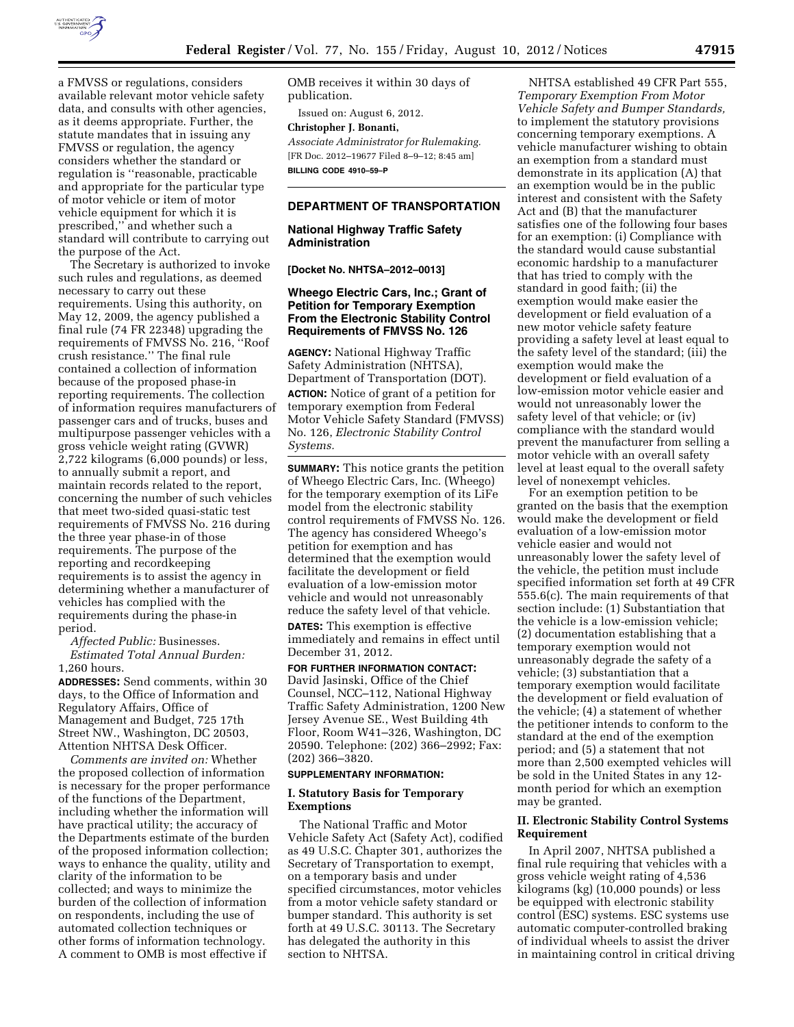

a FMVSS or regulations, considers available relevant motor vehicle safety data, and consults with other agencies, as it deems appropriate. Further, the statute mandates that in issuing any FMVSS or regulation, the agency considers whether the standard or regulation is ''reasonable, practicable and appropriate for the particular type of motor vehicle or item of motor vehicle equipment for which it is prescribed,'' and whether such a standard will contribute to carrying out the purpose of the Act.

The Secretary is authorized to invoke such rules and regulations, as deemed necessary to carry out these requirements. Using this authority, on May 12, 2009, the agency published a final rule (74 FR 22348) upgrading the requirements of FMVSS No. 216, ''Roof crush resistance.'' The final rule contained a collection of information because of the proposed phase-in reporting requirements. The collection of information requires manufacturers of passenger cars and of trucks, buses and multipurpose passenger vehicles with a gross vehicle weight rating (GVWR) 2,722 kilograms (6,000 pounds) or less, to annually submit a report, and maintain records related to the report, concerning the number of such vehicles that meet two-sided quasi-static test requirements of FMVSS No. 216 during the three year phase-in of those requirements. The purpose of the reporting and recordkeeping requirements is to assist the agency in determining whether a manufacturer of vehicles has complied with the requirements during the phase-in period.

*Affected Public:* Businesses. *Estimated Total Annual Burden:*  1,260 hours.

**ADDRESSES:** Send comments, within 30 days, to the Office of Information and Regulatory Affairs, Office of Management and Budget, 725 17th Street NW., Washington, DC 20503, Attention NHTSA Desk Officer.

*Comments are invited on:* Whether the proposed collection of information is necessary for the proper performance of the functions of the Department, including whether the information will have practical utility; the accuracy of the Departments estimate of the burden of the proposed information collection; ways to enhance the quality, utility and clarity of the information to be collected; and ways to minimize the burden of the collection of information on respondents, including the use of automated collection techniques or other forms of information technology. A comment to OMB is most effective if

OMB receives it within 30 days of publication.

Issued on: August 6, 2012. **Christopher J. Bonanti,**  *Associate Administrator for Rulemaking.*  [FR Doc. 2012–19677 Filed 8–9–12; 8:45 am]

**BILLING CODE 4910–59–P** 

# **DEPARTMENT OF TRANSPORTATION**

**National Highway Traffic Safety Administration** 

**[Docket No. NHTSA–2012–0013]** 

## **Wheego Electric Cars, Inc.; Grant of Petition for Temporary Exemption From the Electronic Stability Control Requirements of FMVSS No. 126**

**AGENCY:** National Highway Traffic Safety Administration (NHTSA), Department of Transportation (DOT). **ACTION:** Notice of grant of a petition for temporary exemption from Federal Motor Vehicle Safety Standard (FMVSS) No. 126, *Electronic Stability Control Systems.* 

**SUMMARY:** This notice grants the petition of Wheego Electric Cars, Inc. (Wheego) for the temporary exemption of its LiFe model from the electronic stability control requirements of FMVSS No. 126. The agency has considered Wheego's petition for exemption and has determined that the exemption would facilitate the development or field evaluation of a low-emission motor vehicle and would not unreasonably reduce the safety level of that vehicle. **DATES:** This exemption is effective immediately and remains in effect until

December 31, 2012. **FOR FURTHER INFORMATION CONTACT:**  David Jasinski, Office of the Chief Counsel, NCC–112, National Highway Traffic Safety Administration, 1200 New Jersey Avenue SE., West Building 4th Floor, Room W41–326, Washington, DC 20590. Telephone: (202) 366–2992; Fax: (202) 366–3820.

## **SUPPLEMENTARY INFORMATION:**

## **I. Statutory Basis for Temporary Exemptions**

The National Traffic and Motor Vehicle Safety Act (Safety Act), codified as 49 U.S.C. Chapter 301, authorizes the Secretary of Transportation to exempt, on a temporary basis and under specified circumstances, motor vehicles from a motor vehicle safety standard or bumper standard. This authority is set forth at 49 U.S.C. 30113. The Secretary has delegated the authority in this section to NHTSA.

NHTSA established 49 CFR Part 555, *Temporary Exemption From Motor Vehicle Safety and Bumper Standards,*  to implement the statutory provisions concerning temporary exemptions. A vehicle manufacturer wishing to obtain an exemption from a standard must demonstrate in its application (A) that an exemption would be in the public interest and consistent with the Safety Act and (B) that the manufacturer satisfies one of the following four bases for an exemption: (i) Compliance with the standard would cause substantial economic hardship to a manufacturer that has tried to comply with the standard in good faith; (ii) the exemption would make easier the development or field evaluation of a new motor vehicle safety feature providing a safety level at least equal to the safety level of the standard; (iii) the exemption would make the development or field evaluation of a low-emission motor vehicle easier and would not unreasonably lower the safety level of that vehicle; or (iv) compliance with the standard would prevent the manufacturer from selling a motor vehicle with an overall safety level at least equal to the overall safety level of nonexempt vehicles.

For an exemption petition to be granted on the basis that the exemption would make the development or field evaluation of a low-emission motor vehicle easier and would not unreasonably lower the safety level of the vehicle, the petition must include specified information set forth at 49 CFR 555.6(c). The main requirements of that section include: (1) Substantiation that the vehicle is a low-emission vehicle; (2) documentation establishing that a temporary exemption would not unreasonably degrade the safety of a vehicle; (3) substantiation that a temporary exemption would facilitate the development or field evaluation of the vehicle; (4) a statement of whether the petitioner intends to conform to the standard at the end of the exemption period; and (5) a statement that not more than 2,500 exempted vehicles will be sold in the United States in any 12 month period for which an exemption may be granted.

## **II. Electronic Stability Control Systems Requirement**

In April 2007, NHTSA published a final rule requiring that vehicles with a gross vehicle weight rating of 4,536 kilograms (kg) (10,000 pounds) or less be equipped with electronic stability control (ESC) systems. ESC systems use automatic computer-controlled braking of individual wheels to assist the driver in maintaining control in critical driving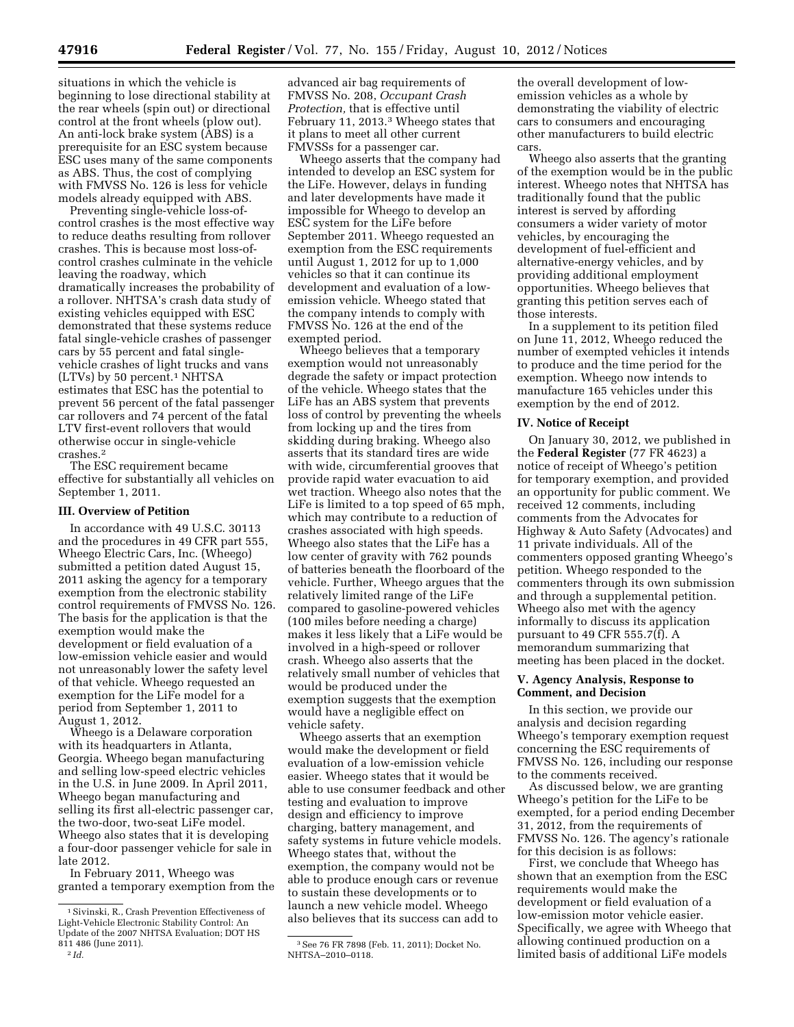situations in which the vehicle is beginning to lose directional stability at the rear wheels (spin out) or directional control at the front wheels (plow out). An anti-lock brake system (ABS) is a prerequisite for an ESC system because ESC uses many of the same components as ABS. Thus, the cost of complying with FMVSS No. 126 is less for vehicle models already equipped with ABS.

Preventing single-vehicle loss-ofcontrol crashes is the most effective way to reduce deaths resulting from rollover crashes. This is because most loss-ofcontrol crashes culminate in the vehicle leaving the roadway, which dramatically increases the probability of a rollover. NHTSA's crash data study of existing vehicles equipped with ESC demonstrated that these systems reduce fatal single-vehicle crashes of passenger cars by 55 percent and fatal singlevehicle crashes of light trucks and vans (LTVs) by 50 percent.1 NHTSA estimates that ESC has the potential to prevent 56 percent of the fatal passenger car rollovers and 74 percent of the fatal LTV first-event rollovers that would otherwise occur in single-vehicle crashes.2

The ESC requirement became effective for substantially all vehicles on September 1, 2011.

#### **III. Overview of Petition**

In accordance with 49 U.S.C. 30113 and the procedures in 49 CFR part 555, Wheego Electric Cars, Inc. (Wheego) submitted a petition dated August 15, 2011 asking the agency for a temporary exemption from the electronic stability control requirements of FMVSS No. 126. The basis for the application is that the exemption would make the development or field evaluation of a low-emission vehicle easier and would not unreasonably lower the safety level of that vehicle. Wheego requested an exemption for the LiFe model for a period from September 1, 2011 to August 1, 2012.

Wheego is a Delaware corporation with its headquarters in Atlanta, Georgia. Wheego began manufacturing and selling low-speed electric vehicles in the U.S. in June 2009. In April 2011, Wheego began manufacturing and selling its first all-electric passenger car, the two-door, two-seat LiFe model. Wheego also states that it is developing a four-door passenger vehicle for sale in late 2012.

In February 2011, Wheego was granted a temporary exemption from the

```
2 Id.
```
advanced air bag requirements of FMVSS No. 208, *Occupant Crash Protection,* that is effective until February 11, 2013.3 Wheego states that it plans to meet all other current FMVSSs for a passenger car.

Wheego asserts that the company had intended to develop an ESC system for the LiFe. However, delays in funding and later developments have made it impossible for Wheego to develop an ESC system for the LiFe before September 2011. Wheego requested an exemption from the ESC requirements until August 1, 2012 for up to 1,000 vehicles so that it can continue its development and evaluation of a lowemission vehicle. Wheego stated that the company intends to comply with FMVSS No. 126 at the end of the exempted period.

Wheego believes that a temporary exemption would not unreasonably degrade the safety or impact protection of the vehicle. Wheego states that the LiFe has an ABS system that prevents loss of control by preventing the wheels from locking up and the tires from skidding during braking. Wheego also asserts that its standard tires are wide with wide, circumferential grooves that provide rapid water evacuation to aid wet traction. Wheego also notes that the LiFe is limited to a top speed of 65 mph, which may contribute to a reduction of crashes associated with high speeds. Wheego also states that the LiFe has a low center of gravity with 762 pounds of batteries beneath the floorboard of the vehicle. Further, Wheego argues that the relatively limited range of the LiFe compared to gasoline-powered vehicles (100 miles before needing a charge) makes it less likely that a LiFe would be involved in a high-speed or rollover crash. Wheego also asserts that the relatively small number of vehicles that would be produced under the exemption suggests that the exemption would have a negligible effect on vehicle safety.

Wheego asserts that an exemption would make the development or field evaluation of a low-emission vehicle easier. Wheego states that it would be able to use consumer feedback and other testing and evaluation to improve design and efficiency to improve charging, battery management, and safety systems in future vehicle models. Wheego states that, without the exemption, the company would not be able to produce enough cars or revenue to sustain these developments or to launch a new vehicle model. Wheego also believes that its success can add to

the overall development of lowemission vehicles as a whole by demonstrating the viability of electric cars to consumers and encouraging other manufacturers to build electric cars.

Wheego also asserts that the granting of the exemption would be in the public interest. Wheego notes that NHTSA has traditionally found that the public interest is served by affording consumers a wider variety of motor vehicles, by encouraging the development of fuel-efficient and alternative-energy vehicles, and by providing additional employment opportunities. Wheego believes that granting this petition serves each of those interests.

In a supplement to its petition filed on June 11, 2012, Wheego reduced the number of exempted vehicles it intends to produce and the time period for the exemption. Wheego now intends to manufacture 165 vehicles under this exemption by the end of 2012.

#### **IV. Notice of Receipt**

On January 30, 2012, we published in the **Federal Register** (77 FR 4623) a notice of receipt of Wheego's petition for temporary exemption, and provided an opportunity for public comment. We received 12 comments, including comments from the Advocates for Highway & Auto Safety (Advocates) and 11 private individuals. All of the commenters opposed granting Wheego's petition. Wheego responded to the commenters through its own submission and through a supplemental petition. Wheego also met with the agency informally to discuss its application pursuant to 49 CFR 555.7(f). A memorandum summarizing that meeting has been placed in the docket.

### **V. Agency Analysis, Response to Comment, and Decision**

In this section, we provide our analysis and decision regarding Wheego's temporary exemption request concerning the ESC requirements of FMVSS No. 126, including our response to the comments received.

As discussed below, we are granting Wheego's petition for the LiFe to be exempted, for a period ending December 31, 2012, from the requirements of FMVSS No. 126. The agency's rationale for this decision is as follows:

First, we conclude that Wheego has shown that an exemption from the ESC requirements would make the development or field evaluation of a low-emission motor vehicle easier. Specifically, we agree with Wheego that allowing continued production on a limited basis of additional LiFe models

<sup>1</sup>Sivinski, R., Crash Prevention Effectiveness of Light-Vehicle Electronic Stability Control: An Update of the 2007 NHTSA Evaluation; DOT HS 811 486 (June 2011).

<sup>3</sup>See 76 FR 7898 (Feb. 11, 2011); Docket No. NHTSA–2010–0118.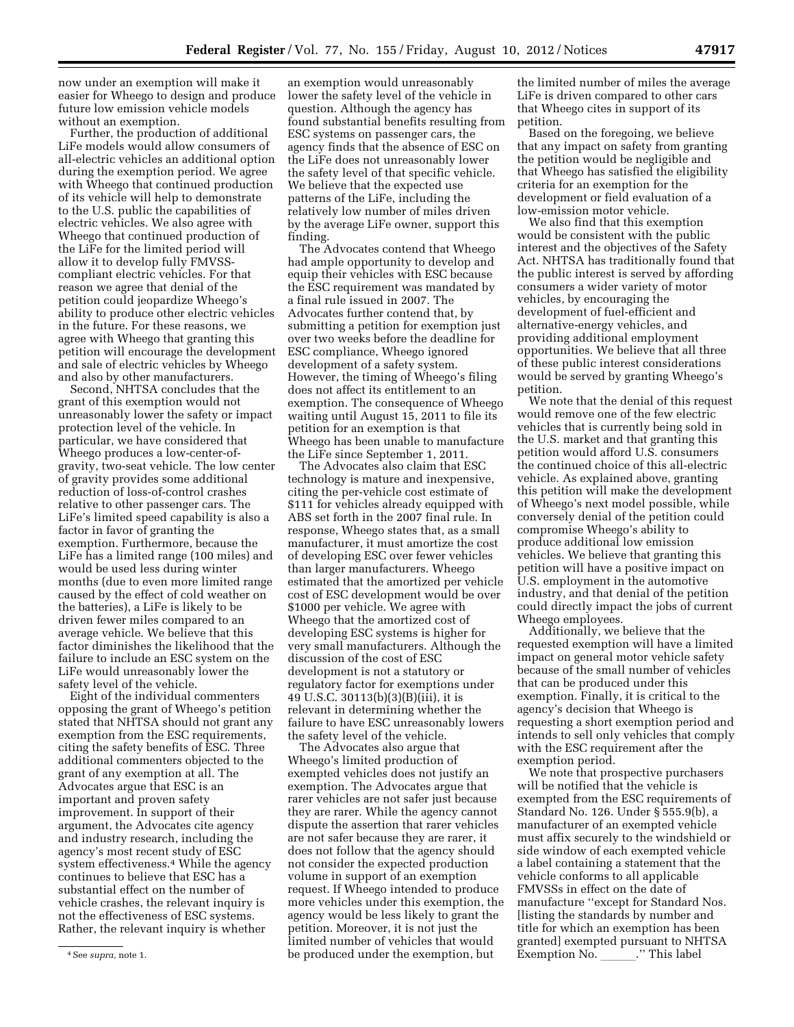now under an exemption will make it easier for Wheego to design and produce future low emission vehicle models without an exemption.

Further, the production of additional LiFe models would allow consumers of all-electric vehicles an additional option during the exemption period. We agree with Wheego that continued production of its vehicle will help to demonstrate to the U.S. public the capabilities of electric vehicles. We also agree with Wheego that continued production of the LiFe for the limited period will allow it to develop fully FMVSScompliant electric vehicles. For that reason we agree that denial of the petition could jeopardize Wheego's ability to produce other electric vehicles in the future. For these reasons, we agree with Wheego that granting this petition will encourage the development and sale of electric vehicles by Wheego and also by other manufacturers.

Second, NHTSA concludes that the grant of this exemption would not unreasonably lower the safety or impact protection level of the vehicle. In particular, we have considered that Wheego produces a low-center-ofgravity, two-seat vehicle. The low center of gravity provides some additional reduction of loss-of-control crashes relative to other passenger cars. The LiFe's limited speed capability is also a factor in favor of granting the exemption. Furthermore, because the LiFe has a limited range (100 miles) and would be used less during winter months (due to even more limited range caused by the effect of cold weather on the batteries), a LiFe is likely to be driven fewer miles compared to an average vehicle. We believe that this factor diminishes the likelihood that the failure to include an ESC system on the LiFe would unreasonably lower the safety level of the vehicle.

Eight of the individual commenters opposing the grant of Wheego's petition stated that NHTSA should not grant any exemption from the ESC requirements, citing the safety benefits of ESC. Three additional commenters objected to the grant of any exemption at all. The Advocates argue that ESC is an important and proven safety improvement. In support of their argument, the Advocates cite agency and industry research, including the agency's most recent study of ESC system effectiveness.<sup>4</sup> While the agency continues to believe that ESC has a substantial effect on the number of vehicle crashes, the relevant inquiry is not the effectiveness of ESC systems. Rather, the relevant inquiry is whether

an exemption would unreasonably lower the safety level of the vehicle in question. Although the agency has found substantial benefits resulting from ESC systems on passenger cars, the agency finds that the absence of ESC on the LiFe does not unreasonably lower the safety level of that specific vehicle. We believe that the expected use patterns of the LiFe, including the relatively low number of miles driven by the average LiFe owner, support this finding.

The Advocates contend that Wheego had ample opportunity to develop and equip their vehicles with ESC because the ESC requirement was mandated by a final rule issued in 2007. The Advocates further contend that, by submitting a petition for exemption just over two weeks before the deadline for ESC compliance, Wheego ignored development of a safety system. However, the timing of Wheego's filing does not affect its entitlement to an exemption. The consequence of Wheego waiting until August 15, 2011 to file its petition for an exemption is that Wheego has been unable to manufacture the LiFe since September 1, 2011.

The Advocates also claim that ESC technology is mature and inexpensive, citing the per-vehicle cost estimate of \$111 for vehicles already equipped with ABS set forth in the 2007 final rule. In response, Wheego states that, as a small manufacturer, it must amortize the cost of developing ESC over fewer vehicles than larger manufacturers. Wheego estimated that the amortized per vehicle cost of ESC development would be over \$1000 per vehicle. We agree with Wheego that the amortized cost of developing ESC systems is higher for very small manufacturers. Although the discussion of the cost of ESC development is not a statutory or regulatory factor for exemptions under 49 U.S.C. 30113(b)(3)(B)(iii), it is relevant in determining whether the failure to have ESC unreasonably lowers the safety level of the vehicle.

The Advocates also argue that Wheego's limited production of exempted vehicles does not justify an exemption. The Advocates argue that rarer vehicles are not safer just because they are rarer. While the agency cannot dispute the assertion that rarer vehicles are not safer because they are rarer, it does not follow that the agency should not consider the expected production volume in support of an exemption request. If Wheego intended to produce more vehicles under this exemption, the agency would be less likely to grant the petition. Moreover, it is not just the limited number of vehicles that would be produced under the exemption, but

the limited number of miles the average LiFe is driven compared to other cars that Wheego cites in support of its petition.

Based on the foregoing, we believe that any impact on safety from granting the petition would be negligible and that Wheego has satisfied the eligibility criteria for an exemption for the development or field evaluation of a low-emission motor vehicle.

We also find that this exemption would be consistent with the public interest and the objectives of the Safety Act. NHTSA has traditionally found that the public interest is served by affording consumers a wider variety of motor vehicles, by encouraging the development of fuel-efficient and alternative-energy vehicles, and providing additional employment opportunities. We believe that all three of these public interest considerations would be served by granting Wheego's petition.

We note that the denial of this request would remove one of the few electric vehicles that is currently being sold in the U.S. market and that granting this petition would afford U.S. consumers the continued choice of this all-electric vehicle. As explained above, granting this petition will make the development of Wheego's next model possible, while conversely denial of the petition could compromise Wheego's ability to produce additional low emission vehicles. We believe that granting this petition will have a positive impact on U.S. employment in the automotive industry, and that denial of the petition could directly impact the jobs of current Wheego employees.

Additionally, we believe that the requested exemption will have a limited impact on general motor vehicle safety because of the small number of vehicles that can be produced under this exemption. Finally, it is critical to the agency's decision that Wheego is requesting a short exemption period and intends to sell only vehicles that comply with the ESC requirement after the exemption period.

We note that prospective purchasers will be notified that the vehicle is exempted from the ESC requirements of Standard No. 126. Under § 555.9(b), a manufacturer of an exempted vehicle must affix securely to the windshield or side window of each exempted vehicle a label containing a statement that the vehicle conforms to all applicable FMVSSs in effect on the date of manufacture ''except for Standard Nos. [listing the standards by number and title for which an exemption has been granted] exempted pursuant to NHTSA  $Exemption No.$  '' This label

<sup>4</sup>See *supra,* note 1.